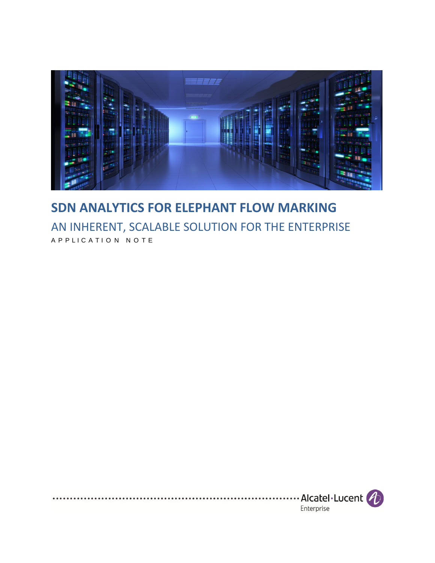

## **SDN ANALYTICS FOR ELEPHANT FLOW MARKING**  AN INHERENT, SCALABLE SOLUTION FOR THE ENTERPRISE A P P L I C A T I O N N O T E

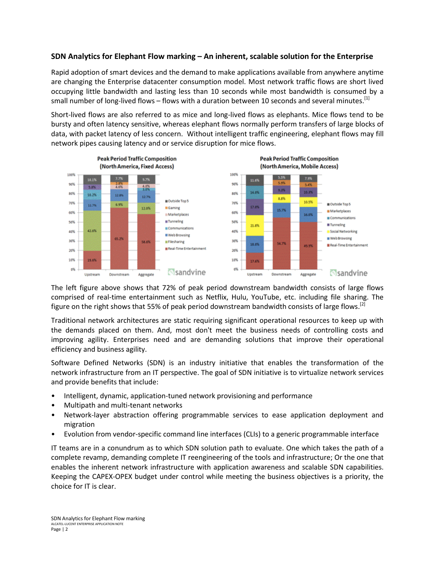## **SDN Analytics for Elephant Flow marking – An inherent, scalable solution for the Enterprise**

Rapid adoption of smart devices and the demand to make applications available from anywhere anytime are changing the Enterprise datacenter consumption model. Most network traffic flows are short lived occupying little bandwidth and lasting less than 10 seconds while most bandwidth is consumed by a small number of long-lived flows – flows with a duration between 10 seconds and several minutes.  $^{[1]}$ 

Short-lived flows are also referred to as mice and long-lived flows as elephants. Mice flows tend to be bursty and often latency sensitive, whereas elephant flows normally perform transfers of large blocks of data, with packet latency of less concern. Without intelligent traffic engineering, elephant flows may fill network pipes causing latency and or service disruption for mice flows.



The left figure above shows that 72% of peak period downstream bandwidth consists of large flows comprised of real-time entertainment such as Netflix, Hulu, YouTube, etc. including file sharing. The figure on the right shows that 55% of peak period downstream bandwidth consists of large flows.<sup>[2]</sup>

Traditional network architectures are static requiring significant operational resources to keep up with the demands placed on them. And, most don't meet the business needs of controlling costs and improving agility. Enterprises need and are demanding solutions that improve their operational efficiency and business agility.

Software Defined Networks (SDN) is an industry initiative that enables the transformation of the network infrastructure from an IT perspective. The goal of SDN initiative is to virtualize network services and provide benefits that include:

- Intelligent, dynamic, application-tuned network provisioning and performance
- Multipath and multi-tenant networks
- Network-layer abstraction offering programmable services to ease application deployment and migration
- Evolution from vendor-specific command line interfaces (CLIs) to a generic programmable interface

IT teams are in a conundrum as to which SDN solution path to evaluate. One which takes the path of a complete revamp, demanding complete IT reengineering of the tools and infrastructure; Or the one that enables the inherent network infrastructure with application awareness and scalable SDN capabilities. Keeping the CAPEX-OPEX budget under control while meeting the business objectives is a priority, the choice for IT is clear.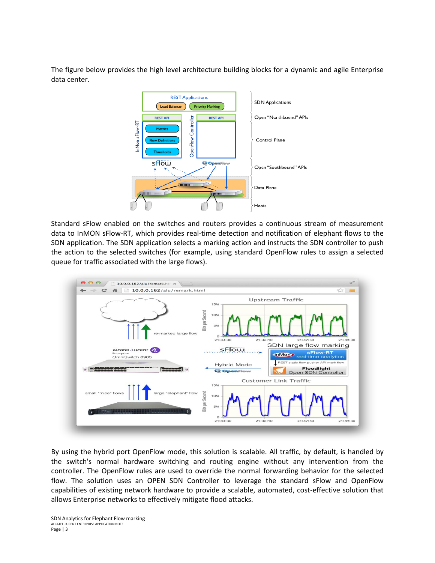The figure below provides the high level architecture building blocks for a dynamic and agile Enterprise data center.



Standard sFlow enabled on the switches and routers provides a continuous stream of measurement data to InMON sFlow-RT, which provides real-time detection and notification of elephant flows to the SDN application. The SDN application selects a marking action and instructs the SDN controller to push the action to the selected switches (for example, using standard OpenFlow rules to assign a selected queue for traffic associated with the large flows).



By using the hybrid port OpenFlow mode, this solution is scalable. All traffic, by default, is handled by the switch's normal hardware switching and routing engine without any intervention from the controller. The OpenFlow rules are used to override the normal forwarding behavior for the selected flow. The solution uses an OPEN SDN Controller to leverage the standard sFlow and OpenFlow capabilities of existing network hardware to provide a scalable, automated, cost-effective solution that allows Enterprise networks to effectively mitigate flood attacks.